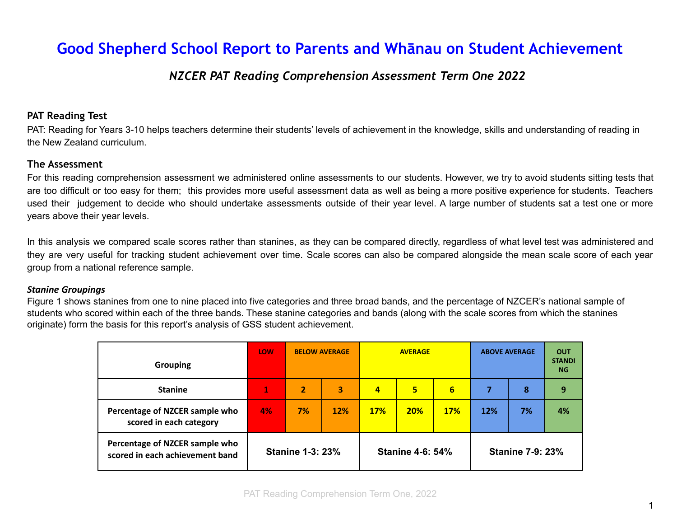# **Good Shepherd School Report to Parents and Whānau on Student Achievement**

### *NZCER PAT Reading Comprehension Assessment Term One 2022*

#### **PAT Reading Test**

PAT: Reading for Years 3-10 helps teachers determine their students' levels of achievement in the knowledge, skills and understanding of reading in the New Zealand curriculum.

#### **The Assessment**

For this reading comprehension assessment we administered online assessments to our students. However, we try to avoid students sitting tests that are too difficult or too easy for them; this provides more useful assessment data as well as being a more positive experience for students. Teachers used their judgement to decide who should undertake assessments outside of their year level. A large number of students sat a test one or more years above their year levels.

In this analysis we compared scale scores rather than stanines, as they can be compared directly, regardless of what level test was administered and they are very useful for tracking student achievement over time. Scale scores can also be compared alongside the mean scale score of each year group from a national reference sample.

#### *Stanine Groupings*

Figure 1 shows stanines from one to nine placed into five categories and three broad bands, and the percentage of NZCER's national sample of students who scored within each of the three bands. These stanine categories and bands (along with the scale scores from which the stanines originate) form the basis for this report's analysis of GSS student achievement.

| <b>Grouping</b>                                                   | LOW                     | <b>BELOW AVERAGE</b> |     | <b>AVERAGE</b>          |                |            | <b>ABOVE AVERAGE</b>    |    | <b>OUT</b><br><b>STANDI</b><br><b>NG</b> |
|-------------------------------------------------------------------|-------------------------|----------------------|-----|-------------------------|----------------|------------|-------------------------|----|------------------------------------------|
| <b>Stanine</b>                                                    | 1                       | $\overline{2}$       | 3   | $\overline{a}$          | 5 <sup>1</sup> | 6          | 7                       | 8  | 9                                        |
| Percentage of NZCER sample who<br>scored in each category         | 4%                      | 7%                   | 12% | <b>17%</b>              | <b>20%</b>     | <b>17%</b> | 12%                     | 7% | 4%                                       |
| Percentage of NZCER sample who<br>scored in each achievement band | <b>Stanine 1-3: 23%</b> |                      |     | <b>Stanine 4-6: 54%</b> |                |            | <b>Stanine 7-9: 23%</b> |    |                                          |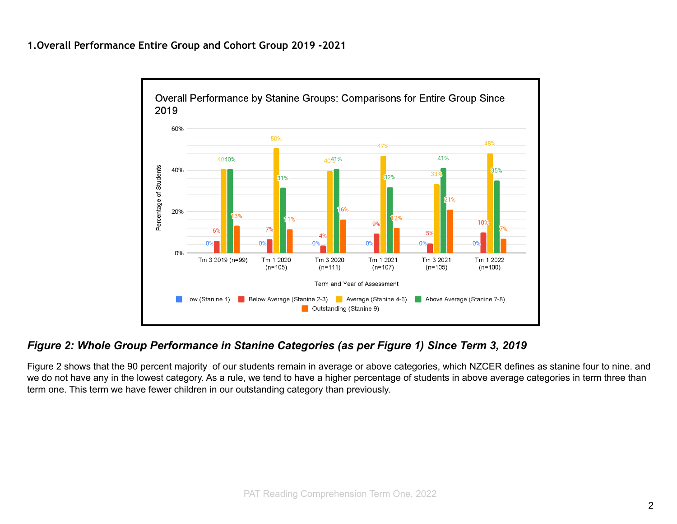

### *Figure 2: Whole Group Performance in Stanine Categories (as per Figure 1) Since Term 3, 2019*

Figure 2 shows that the 90 percent majority of our students remain in average or above categories, which NZCER defines as stanine four to nine. and we do not have any in the lowest category. As a rule, we tend to have a higher percentage of students in above average categories in term three than term one. This term we have fewer children in our outstanding category than previously.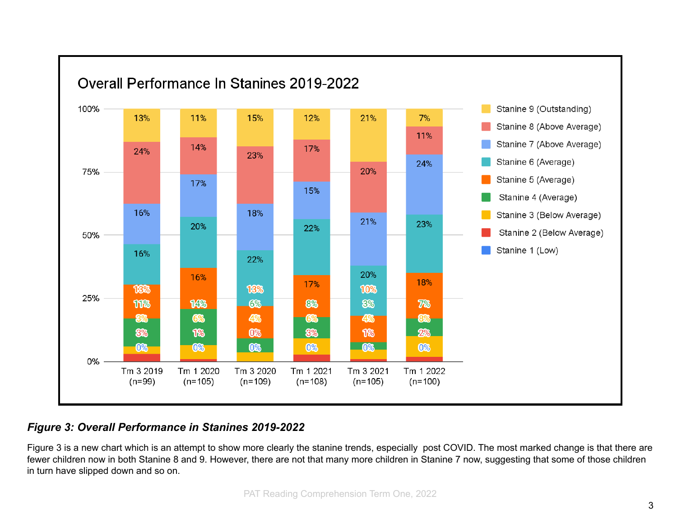

# *Figure 3: Overall Performance in Stanines 2019-2022*

Figure 3 is a new chart which is an attempt to show more clearly the stanine trends, especially post COVID. The most marked change is that there are fewer children now in both Stanine 8 and 9. However, there are not that many more children in Stanine 7 now, suggesting that some of those children in turn have slipped down and so on.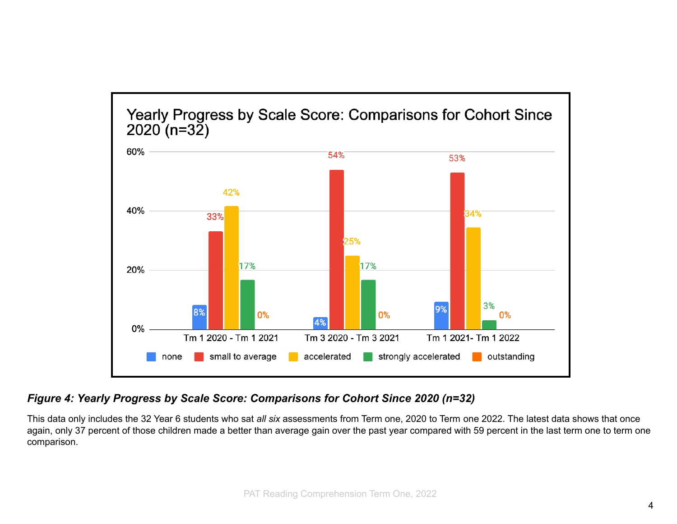

## *Figure 4: Yearly Progress by Scale Score: Comparisons for Cohort Since 2020 (n=32)*

This data only includes the 32 Year 6 students who sat *all six* assessments from Term one, 2020 to Term one 2022. The latest data shows that once again, only 37 percent of those children made a better than average gain over the past year compared with 59 percent in the last term one to term one comparison.